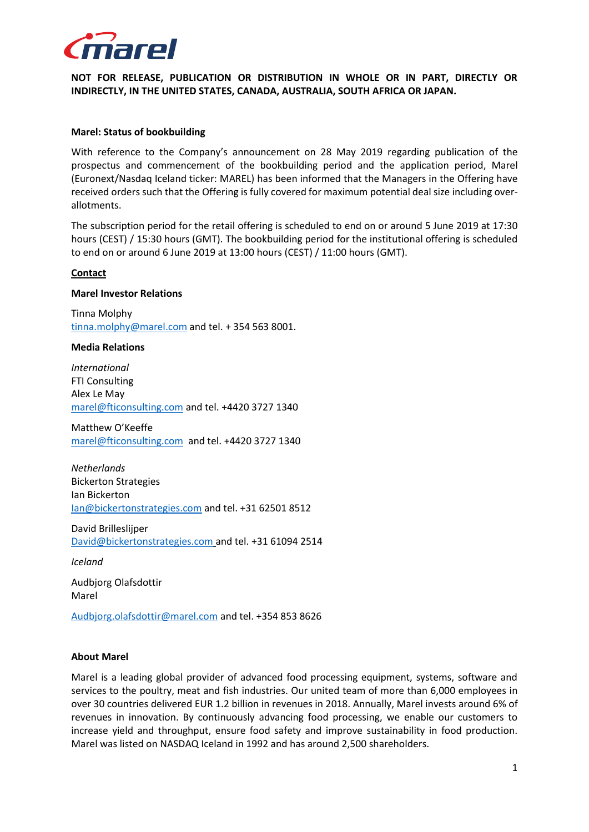

# **NOT FOR RELEASE, PUBLICATION OR DISTRIBUTION IN WHOLE OR IN PART, DIRECTLY OR INDIRECTLY, IN THE UNITED STATES, CANADA, AUSTRALIA, SOUTH AFRICA OR JAPAN.**

## **Marel: Status of bookbuilding**

With reference to the Company's announcement on 28 May 2019 regarding publication of the prospectus and commencement of the bookbuilding period and the application period, Marel (Euronext/Nasdaq Iceland ticker: MAREL) has been informed that the Managers in the Offering have received orders such that the Offering is fully covered for maximum potential deal size including overallotments.

The subscription period for the retail offering is scheduled to end on or around 5 June 2019 at 17:30 hours (CEST) / 15:30 hours (GMT). The bookbuilding period for the institutional offering is scheduled to end on or around 6 June 2019 at 13:00 hours (CEST) / 11:00 hours (GMT).

#### **Contact**

#### **Marel Investor Relations**

Tinna Molphy [tinna.molphy@marel.com](mailto:tinna.molphy@marel.com) and tel. + 354 563 8001.

#### **Media Relations**

*International* FTI Consulting Alex Le May [marel@fticonsulting.com](mailto:marel@fticonsulting.com) and tel. +4420 3727 1340

#### Matthew O'Keeffe

[marel@fticonsulting.com](mailto:marel@fticonsulting.com) and tel. +4420 3727 1340

*Netherlands* Bickerton Strategies Ian Bickerton [Ian@bickertonstrategies.com](mailto:Ian@bickertonstrategies.com) and tel. +31 62501 8512

David Brilleslijper [David@bickertonstrategies.com](mailto:David@bickertonstrategies.com) and tel. +31 61094 2514

*Iceland*

Audbjorg Olafsdottir Marel

[Audbjorg.olafsdottir@marel.com](mailto:Audbjorg.olafsdottir@marel.com) and tel. +354 853 8626

#### **About Marel**

Marel is a leading global provider of advanced food processing equipment, systems, software and services to the poultry, meat and fish industries. Our united team of more than 6,000 employees in over 30 countries delivered EUR 1.2 billion in revenues in 2018. Annually, Marel invests around 6% of revenues in innovation. By continuously advancing food processing, we enable our customers to increase yield and throughput, ensure food safety and improve sustainability in food production. Marel was listed on NASDAQ Iceland in 1992 and has around 2,500 shareholders.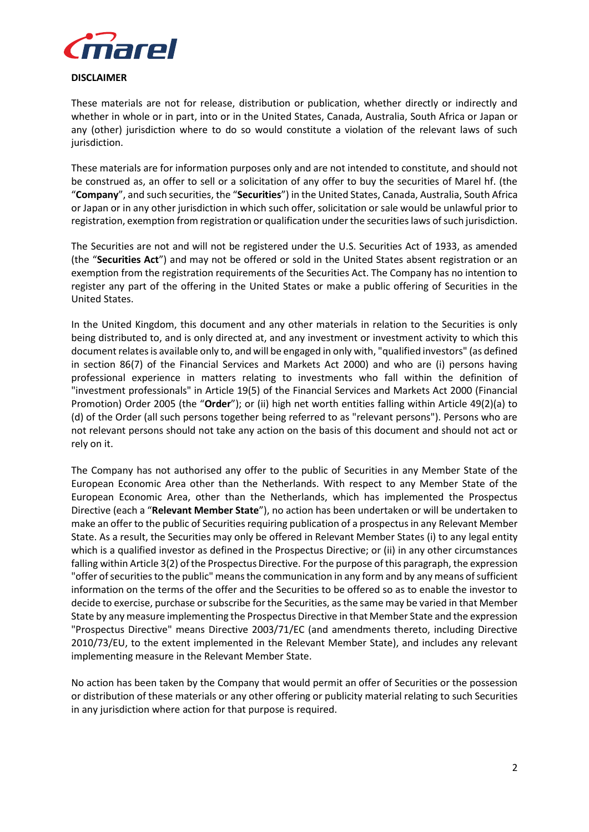

### **DISCLAIMER**

These materials are not for release, distribution or publication, whether directly or indirectly and whether in whole or in part, into or in the United States, Canada, Australia, South Africa or Japan or any (other) jurisdiction where to do so would constitute a violation of the relevant laws of such jurisdiction.

These materials are for information purposes only and are not intended to constitute, and should not be construed as, an offer to sell or a solicitation of any offer to buy the securities of Marel hf. (the "**Company**", and such securities, the "**Securities**") in the United States, Canada, Australia, South Africa or Japan or in any other jurisdiction in which such offer, solicitation or sale would be unlawful prior to registration, exemption from registration or qualification under the securities laws of such jurisdiction.

The Securities are not and will not be registered under the U.S. Securities Act of 1933, as amended (the "**Securities Act**") and may not be offered or sold in the United States absent registration or an exemption from the registration requirements of the Securities Act. The Company has no intention to register any part of the offering in the United States or make a public offering of Securities in the United States.

In the United Kingdom, this document and any other materials in relation to the Securities is only being distributed to, and is only directed at, and any investment or investment activity to which this document relates is available only to, and will be engaged in only with, "qualified investors" (as defined in section 86(7) of the Financial Services and Markets Act 2000) and who are (i) persons having professional experience in matters relating to investments who fall within the definition of "investment professionals" in Article 19(5) of the Financial Services and Markets Act 2000 (Financial Promotion) Order 2005 (the "**Order**"); or (ii) high net worth entities falling within Article 49(2)(a) to (d) of the Order (all such persons together being referred to as "relevant persons"). Persons who are not relevant persons should not take any action on the basis of this document and should not act or rely on it.

The Company has not authorised any offer to the public of Securities in any Member State of the European Economic Area other than the Netherlands. With respect to any Member State of the European Economic Area, other than the Netherlands, which has implemented the Prospectus Directive (each a "**Relevant Member State**"), no action has been undertaken or will be undertaken to make an offer to the public of Securities requiring publication of a prospectus in any Relevant Member State. As a result, the Securities may only be offered in Relevant Member States (i) to any legal entity which is a qualified investor as defined in the Prospectus Directive; or (ii) in any other circumstances falling within Article 3(2) of the Prospectus Directive. For the purpose of this paragraph, the expression "offer of securities to the public" means the communication in any form and by any means of sufficient information on the terms of the offer and the Securities to be offered so as to enable the investor to decide to exercise, purchase or subscribe for the Securities, as the same may be varied in that Member State by any measure implementing the Prospectus Directive in that Member State and the expression "Prospectus Directive" means Directive 2003/71/EC (and amendments thereto, including Directive 2010/73/EU, to the extent implemented in the Relevant Member State), and includes any relevant implementing measure in the Relevant Member State.

No action has been taken by the Company that would permit an offer of Securities or the possession or distribution of these materials or any other offering or publicity material relating to such Securities in any jurisdiction where action for that purpose is required.